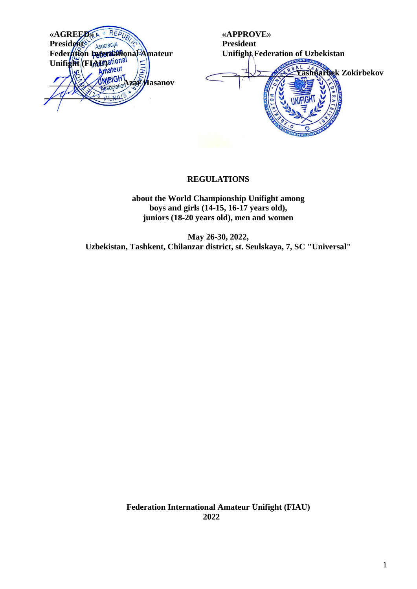

**«APPROVE» President Unifight Federation of Uzbekistan \_\_\_\_\_\_\_\_\_\_\_\_\_\_\_\_\_ Yashnarbek Zokirbekov**

## **REGULATIONS**

**about the World Championship Unifight among boys and girls (14-15, 16-17 years old), juniors (18-20 years old), men and women**

**May 26-30, 2022, Uzbekistan, Tashkent, Chilanzar district, st. Seulskaya, 7, SC "Universal"**

> **Federation International Amateur Unifight (FIAU) 2022**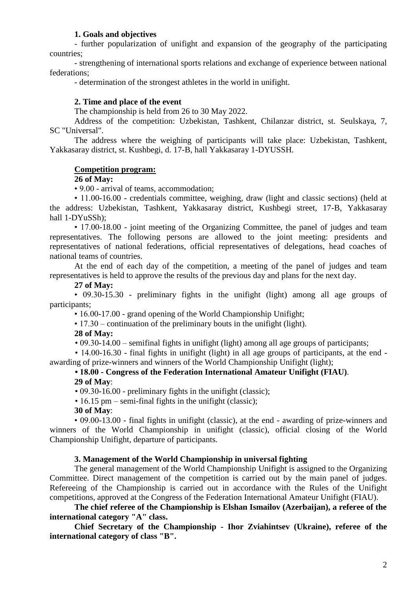## **1. Goals and objectives**

- further popularization of unifight and expansion of the geography of the participating countries;

- strengthening of international sports relations and exchange of experience between national federations;

- determination of the strongest athletes in the world in unifight.

#### **2. Time and place of the event**

The championship is held from 26 to 30 May 2022.

Address of the competition: Uzbekistan, Tashkent, Chilanzar district, st. Seulskaya, 7, SC "Universal".

The address where the weighing of participants will take place: Uzbekistan, Tashkent, Yakkasaray district, st. Kushbegi, d. 17-B, hall Yakkasaray 1-DYUSSH.

#### **Competition program:**

**26 of May:**

• 9.00 - arrival of teams, accommodation;

• 11.00-16.00 - credentials committee, weighing, draw (light and classic sections) (held at the address: Uzbekistan, Tashkent, Yakkasaray district, Kushbegi street, 17-B, Yakkasaray hall 1-DYuSSh);

• 17,00-18,00 - joint meeting of the Organizing Committee, the panel of judges and team representatives. The following persons are allowed to the joint meeting: presidents and representatives of national federations, official representatives of delegations, head coaches of national teams of countries.

At the end of each day of the competition, a meeting of the panel of judges and team representatives is held to approve the results of the previous day and plans for the next day.

#### **27 of May:**

• 09.30-15.30 - preliminary fights in the unifight (light) among all age groups of participants;

• 16.00-17.00 - grand opening of the World Championship Unifight;

• 17.30 – continuation of the preliminary bouts in the unifight (light).

#### **28 of May:**

• 09.30-14.00 – semifinal fights in unifight (light) among all age groups of participants;

• 14.00-16.30 - final fights in unifight (light) in all age groups of participants, at the end awarding of prize-winners and winners of the World Championship Unifight (light);

# **• 18.00 - Congress of the Federation International Amateur Unifight (FIAU)**.

**29 of May**:

• 09.30-16.00 - preliminary fights in the unifight (classic);

• 16.15 pm – semi-final fights in the unifight (classic):

**30 of May**:

• 09.00-13.00 - final fights in unifight (classic), at the end - awarding of prize-winners and winners of the World Championship in unifight (classic), official closing of the World Championship Unifight, departure of participants.

#### **3. Management of the World Championship in universal fighting**

The general management of the World Championship Unifight is assigned to the Organizing Committee. Direct management of the competition is carried out by the main panel of judges. Refereeing of the Championship is carried out in accordance with the Rules of the Unifight competitions, approved at the Congress of the Federation International Amateur Unifight (FIAU).

**The chief referee of the Championship is Elshan Ismailov (Azerbaijan), a referee of the international category "A" class.**

**Chief Secretary of the Championship - Ihor Zviahintsev (Ukraine), referee of the international category of class "B".**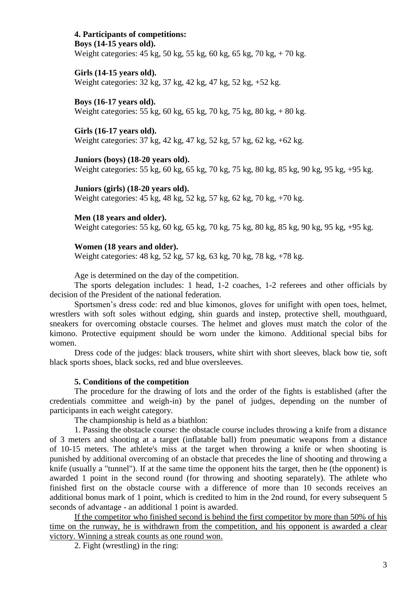#### **4. Participants of competitions: Boys (14-15 years old).**

Weight categories: 45 kg, 50 kg, 55 kg, 60 kg, 65 kg, 70 kg, + 70 kg.

## **Girls (14-15 years old).**

Weight categories: 32 kg, 37 kg, 42 kg, 47 kg, 52 kg, +52 kg.

#### **Boys (16-17 years old).**

Weight categories: 55 kg, 60 kg, 65 kg, 70 kg, 75 kg, 80 kg, + 80 kg.

#### **Girls (16-17 years old).**

Weight categories: 37 kg, 42 kg, 47 kg, 52 kg, 57 kg, 62 kg, +62 kg.

### **Juniors (boys) (18-20 years old).**

Weight categories: 55 kg, 60 kg, 65 kg, 70 kg, 75 kg, 80 kg, 85 kg, 90 kg, 95 kg, +95 kg.

#### **Juniors (girls) (18-20 years old).**

Weight categories: 45 kg, 48 kg, 52 kg, 57 kg, 62 kg, 70 kg, +70 kg.

#### **Men (18 years and older).**

Weight categories: 55 kg, 60 kg, 65 kg, 70 kg, 75 kg, 80 kg, 85 kg, 90 kg, 95 kg, +95 kg.

#### **Women (18 years and older).**

Weight categories: 48 kg, 52 kg, 57 kg, 63 kg, 70 kg, 78 kg, +78 kg.

Age is determined on the day of the competition.

The sports delegation includes: 1 head, 1-2 coaches, 1-2 referees and other officials by decision of the President of the national federation.

Sportsmen's dress code: red and blue kimonos, gloves for unifight with open toes, helmet, wrestlers with soft soles without edging, shin guards and instep, protective shell, mouthguard, sneakers for overcoming obstacle courses. The helmet and gloves must match the color of the kimono. Protective equipment should be worn under the kimono. Additional special bibs for women.

Dress code of the judges: black trousers, white shirt with short sleeves, black bow tie, soft black sports shoes, black socks, red and blue oversleeves.

#### **5. Conditions of the competition**

The procedure for the drawing of lots and the order of the fights is established (after the credentials committee and weigh-in) by the panel of judges, depending on the number of participants in each weight category.

The championship is held as a biathlon:

1. Passing the obstacle course: the obstacle course includes throwing a knife from a distance of 3 meters and shooting at a target (inflatable ball) from pneumatic weapons from a distance of 10-15 meters. The athlete's miss at the target when throwing a knife or when shooting is punished by additional overcoming of an obstacle that precedes the line of shooting and throwing a knife (usually a "tunnel"). If at the same time the opponent hits the target, then he (the opponent) is awarded 1 point in the second round (for throwing and shooting separately). The athlete who finished first on the obstacle course with a difference of more than 10 seconds receives an additional bonus mark of 1 point, which is credited to him in the 2nd round, for every subsequent 5 seconds of advantage - an additional 1 point is awarded.

If the competitor who finished second is behind the first competitor by more than 50% of his time on the runway, he is withdrawn from the competition, and his opponent is awarded a clear victory. Winning a streak counts as one round won.

2. Fight (wrestling) in the ring: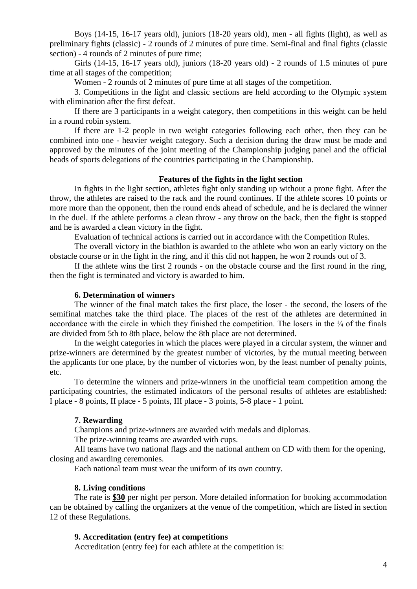Boys (14-15, 16-17 years old), juniors (18-20 years old), men - all fights (light), as well as preliminary fights (classic) - 2 rounds of 2 minutes of pure time. Semi-final and final fights (classic section) - 4 rounds of 2 minutes of pure time;

Girls (14-15, 16-17 years old), juniors (18-20 years old) - 2 rounds of 1.5 minutes of pure time at all stages of the competition;

Women - 2 rounds of 2 minutes of pure time at all stages of the competition.

3. Competitions in the light and classic sections are held according to the Olympic system with elimination after the first defeat.

If there are 3 participants in a weight category, then competitions in this weight can be held in a round robin system.

If there are 1-2 people in two weight categories following each other, then they can be combined into one - heavier weight category. Such a decision during the draw must be made and approved by the minutes of the joint meeting of the Championship judging panel and the official heads of sports delegations of the countries participating in the Championship.

#### **Features of the fights in the light section**

In fights in the light section, athletes fight only standing up without a prone fight. After the throw, the athletes are raised to the rack and the round continues. If the athlete scores 10 points or more more than the opponent, then the round ends ahead of schedule, and he is declared the winner in the duel. If the athlete performs a clean throw - any throw on the back, then the fight is stopped and he is awarded a clean victory in the fight.

Evaluation of technical actions is carried out in accordance with the Competition Rules.

The overall victory in the biathlon is awarded to the athlete who won an early victory on the obstacle course or in the fight in the ring, and if this did not happen, he won 2 rounds out of 3.

If the athlete wins the first 2 rounds - on the obstacle course and the first round in the ring, then the fight is terminated and victory is awarded to him.

#### **6. Determination of winners**

The winner of the final match takes the first place, the loser - the second, the losers of the semifinal matches take the third place. The places of the rest of the athletes are determined in accordance with the circle in which they finished the competition. The losers in the  $\frac{1}{4}$  of the finals are divided from 5th to 8th place, below the 8th place are not determined.

In the weight categories in which the places were played in a circular system, the winner and prize-winners are determined by the greatest number of victories, by the mutual meeting between the applicants for one place, by the number of victories won, by the least number of penalty points, etc.

To determine the winners and prize-winners in the unofficial team competition among the participating countries, the estimated indicators of the personal results of athletes are established: I place - 8 points, II place - 5 points, III place - 3 points, 5-8 place - 1 point.

#### **7. Rewarding**

Champions and prize-winners are awarded with medals and diplomas.

The prize-winning teams are awarded with cups.

All teams have two national flags and the national anthem on CD with them for the opening, closing and awarding ceremonies.

Each national team must wear the uniform of its own country.

#### **8. Living conditions**

The rate is **\$30** per night per person. More detailed information for booking accommodation can be obtained by calling the organizers at the venue of the competition, which are listed in section 12 of these Regulations.

#### **9. Accreditation (entry fee) at competitions**

Accreditation (entry fee) for each athlete at the competition is: